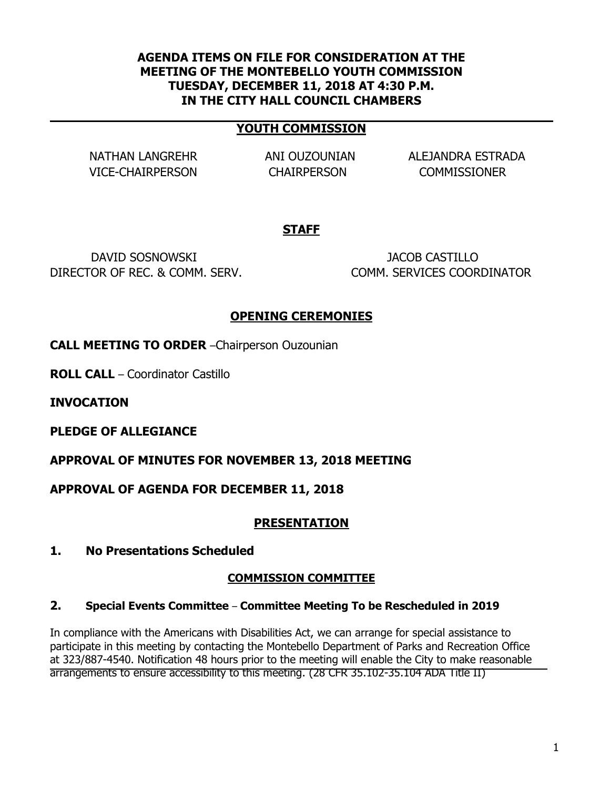#### **AGENDA ITEMS ON FILE FOR CONSIDERATION AT THE MEETING OF THE MONTEBELLO YOUTH COMMISSION TUESDAY, DECEMBER 11, 2018 AT 4:30 P.M. IN THE CITY HALL COUNCIL CHAMBERS**

#### **YOUTH COMMISSION**

VICE-CHAIRPERSON CHAIRPERSON COMMISSIONER

NATHAN LANGREHR ANI OUZOUNIAN ALEJANDRA ESTRADA

### **STAFF**

DAVID SOSNOWSKI JACOB CASTILLO DIRECTOR OF REC. & COMM. SERV. COMM. SERVICES COORDINATOR

### **OPENING CEREMONIES**

**CALL MEETING TO ORDER** –Chairperson Ouzounian

**ROLL CALL** – Coordinator Castillo

**INVOCATION**

**PLEDGE OF ALLEGIANCE**

**APPROVAL OF MINUTES FOR NOVEMBER 13, 2018 MEETING**

**APPROVAL OF AGENDA FOR DECEMBER 11, 2018**

### **PRESENTATION**

**1. No Presentations Scheduled**

### **COMMISSION COMMITTEE**

#### **2. Special Events Committee** – **Committee Meeting To be Rescheduled in 2019**

In compliance with the Americans with Disabilities Act, we can arrange for special assistance to participate in this meeting by contacting the Montebello Department of Parks and Recreation Office at 323/887-4540. Notification 48 hours prior to the meeting will enable the City to make reasonable arrangements to ensure accessibility to this meeting. (28 CFR 35.102-35.104 ADA Title II)